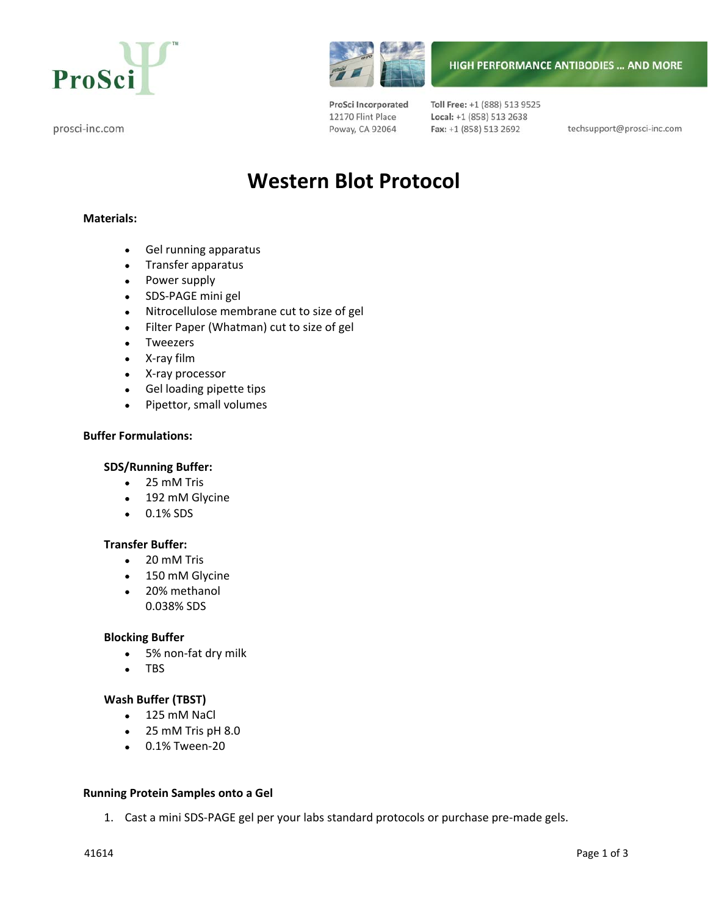





ProSci Incorporated 12170 Flint Place Poway, CA 92064

Toll Free: +1 (888) 513 9525 Local: +1 (858) 513 2638 Fax: +1 (858) 513 2692

techsupport@prosci-inc.com

**HIGH PERFORMANCE ANTIBODIES ... AND MORE** 

# **Western Blot Protocol**

# **Materials:**

- Gel running apparatus
- Transfer apparatus
- Power supply
- SDS‐PAGE mini gel
- Nitrocellulose membrane cut to size of gel
- Filter Paper (Whatman) cut to size of gel
- Tweezers
- X‐ray film
- X‐ray processor
- Gel loading pipette tips
- Pipettor, small volumes

## **Buffer Formulations:**

### **SDS/Running Buffer:**

- 25 mM Tris
- 192 mM Glycine
- 0.1% SDS

## **Transfer Buffer:**

- 20 mM Tris
- 150 mM Glycine
- 20% methanol 0.038% SDS

#### **Blocking Buffer**

- 5% non‐fat dry milk
- TBS

#### **Wash Buffer (TBST)**

- 125 mM NaCl
- 25 mM Tris pH 8.0
- 0.1% Tween‐20

#### **Running Protein Samples onto a Gel**

1. Cast a mini SDS-PAGE gel per your labs standard protocols or purchase pre-made gels.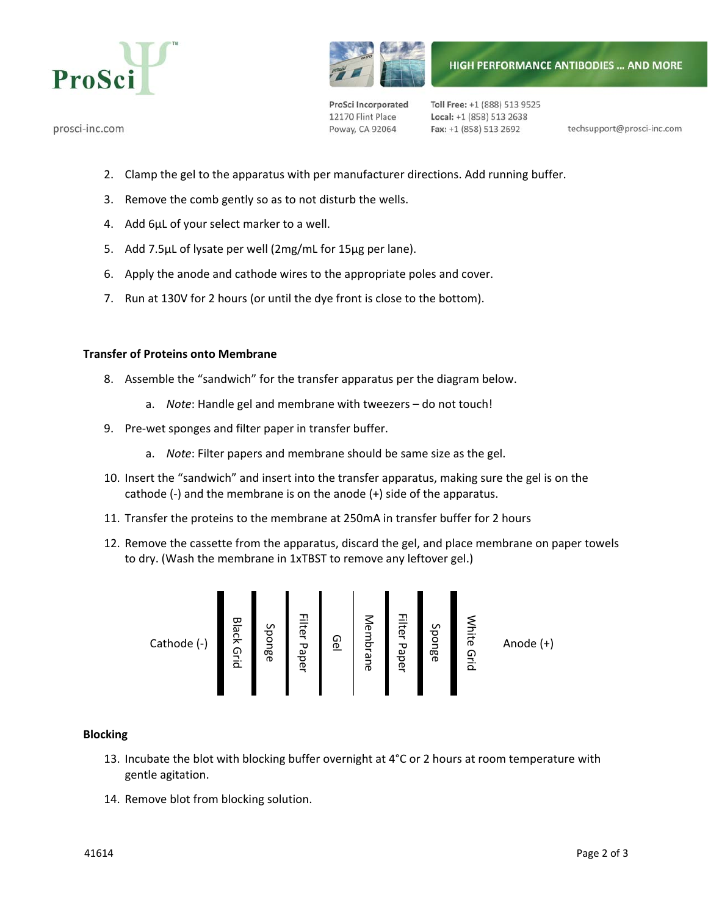

prosci-inc.com



ProSci Incorporated 12170 Flint Place Poway, CA 92064

Toll Free: +1 (888) 513 9525 Local: +1 (858) 513 2638 Fax: +1 (858) 513 2692

techsupport@prosci-inc.com

- 2. Clamp the gel to the apparatus with per manufacturer directions. Add running buffer.
- 3. Remove the comb gently so as to not disturb the wells.
- 4. Add 6μL of your select marker to a well.
- 5. Add 7.5μL of lysate per well (2mg/mL for 15μg per lane).
- 6. Apply the anode and cathode wires to the appropriate poles and cover.
- 7. Run at 130V for 2 hours (or until the dye front is close to the bottom).

## **Transfer of Proteins onto Membrane**

- 8. Assemble the "sandwich" for the transfer apparatus per the diagram below.
	- a. *Note*: Handle gel and membrane with tweezers do not touch!
- 9. Pre-wet sponges and filter paper in transfer buffer.
	- a. *Note*: Filter papers and membrane should be same size as the gel.
- 10. Insert the "sandwich" and insert into the transfer apparatus, making sure the gel is on the cathode (‐) and the membrane is on the anode (+) side of the apparatus.
- 11. Transfer the proteins to the membrane at 250mA in transfer buffer for 2 hours
- 12. Remove the cassette from the apparatus, discard the gel, and place membrane on paper towels to dry. (Wash the membrane in 1xTBST to remove any leftover gel.)

Cathode (‐) Black Grid Sponge Filter Paper Gel Membrane Filter Paper Sponge White Grid Anode (+)

# **Blocking**

- 13. Incubate the blot with blocking buffer overnight at 4°C or 2 hours at room temperature with gentle agitation.
- 14. Remove blot from blocking solution.